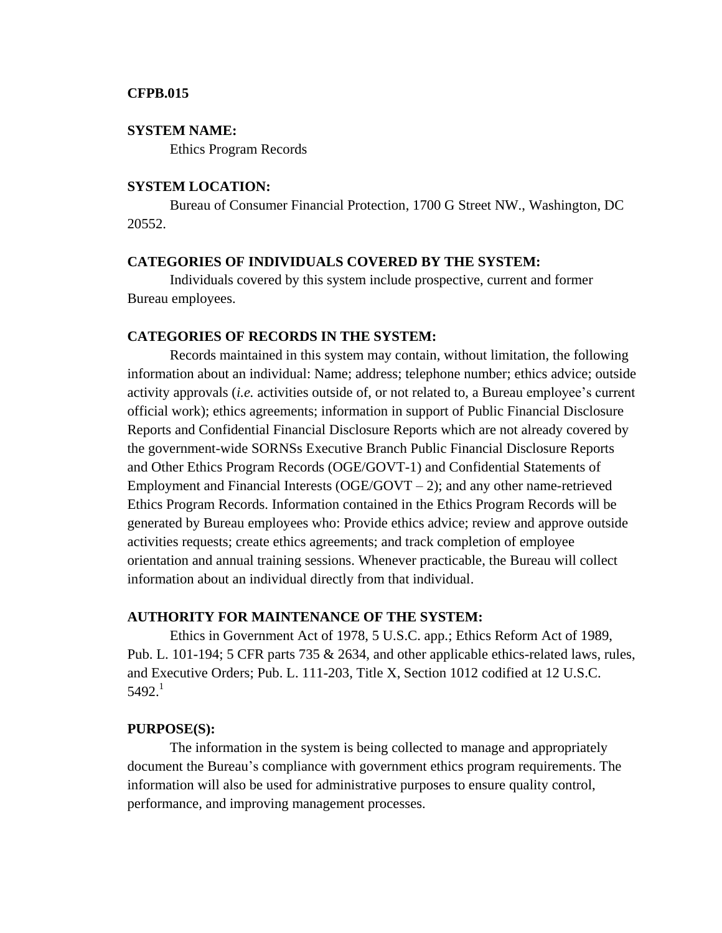### **CFPB.015**

#### **SYSTEM NAME:**

Ethics Program Records

## **SYSTEM LOCATION:**

Bureau of Consumer Financial Protection, 1700 G Street NW., Washington, DC 20552.

## **CATEGORIES OF INDIVIDUALS COVERED BY THE SYSTEM:**

Individuals covered by this system include prospective, current and former Bureau employees.

### **CATEGORIES OF RECORDS IN THE SYSTEM:**

Records maintained in this system may contain, without limitation, the following information about an individual: Name; address; telephone number; ethics advice; outside activity approvals (*i.e.* activities outside of, or not related to, a Bureau employee's current official work); ethics agreements; information in support of Public Financial Disclosure Reports and Confidential Financial Disclosure Reports which are not already covered by the government-wide SORNSs Executive Branch Public Financial Disclosure Reports and Other Ethics Program Records (OGE/GOVT-1) and Confidential Statements of Employment and Financial Interests  $(OGE/GOVT - 2)$ ; and any other name-retrieved Ethics Program Records. Information contained in the Ethics Program Records will be generated by Bureau employees who: Provide ethics advice; review and approve outside activities requests; create ethics agreements; and track completion of employee orientation and annual training sessions. Whenever practicable, the Bureau will collect information about an individual directly from that individual.

# **AUTHORITY FOR MAINTENANCE OF THE SYSTEM:**

Ethics in Government Act of 1978, 5 U.S.C. app.; Ethics Reform Act of 1989, Pub. L. 101-194; 5 CFR parts 735 & 2634, and other applicable ethics-related laws, rules, and Executive Orders; Pub. L. 111-203, Title X, Section 1012 codified at 12 U.S.C.  $5492.<sup>1</sup>$ 

#### **PURPOSE(S):**

The information in the system is being collected to manage and appropriately document the Bureau's compliance with government ethics program requirements. The information will also be used for administrative purposes to ensure quality control, performance, and improving management processes.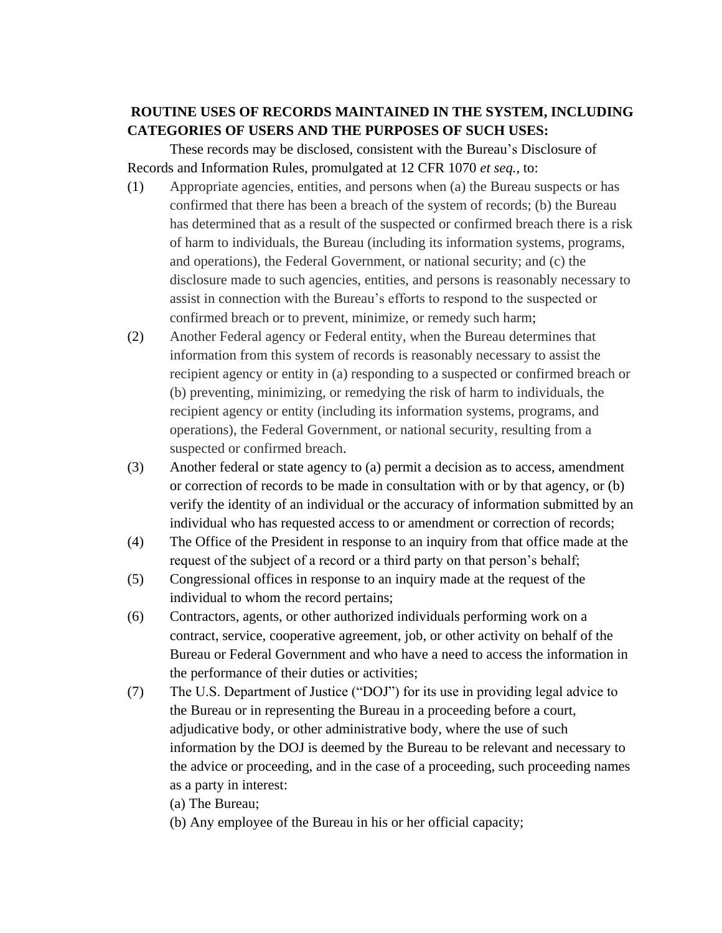# **ROUTINE USES OF RECORDS MAINTAINED IN THE SYSTEM, INCLUDING CATEGORIES OF USERS AND THE PURPOSES OF SUCH USES:**

These records may be disclosed, consistent with the Bureau's Disclosure of Records and Information Rules, promulgated at 12 CFR 1070 *et seq.,* to:

- (1) Appropriate agencies, entities, and persons when (a) the Bureau suspects or has confirmed that there has been a breach of the system of records; (b) the Bureau has determined that as a result of the suspected or confirmed breach there is a risk of harm to individuals, the Bureau (including its information systems, programs, and operations), the Federal Government, or national security; and (c) the disclosure made to such agencies, entities, and persons is reasonably necessary to assist in connection with the Bureau's efforts to respond to the suspected or confirmed breach or to prevent, minimize, or remedy such harm;
- (2) Another Federal agency or Federal entity, when the Bureau determines that information from this system of records is reasonably necessary to assist the recipient agency or entity in (a) responding to a suspected or confirmed breach or (b) preventing, minimizing, or remedying the risk of harm to individuals, the recipient agency or entity (including its information systems, programs, and operations), the Federal Government, or national security, resulting from a suspected or confirmed breach.
- (3) Another federal or state agency to (a) permit a decision as to access, amendment or correction of records to be made in consultation with or by that agency, or (b) verify the identity of an individual or the accuracy of information submitted by an individual who has requested access to or amendment or correction of records;
- (4) The Office of the President in response to an inquiry from that office made at the request of the subject of a record or a third party on that person's behalf;
- (5) Congressional offices in response to an inquiry made at the request of the individual to whom the record pertains;
- (6) Contractors, agents, or other authorized individuals performing work on a contract, service, cooperative agreement, job, or other activity on behalf of the Bureau or Federal Government and who have a need to access the information in the performance of their duties or activities;
- (7) The U.S. Department of Justice ("DOJ") for its use in providing legal advice to the Bureau or in representing the Bureau in a proceeding before a court, adjudicative body, or other administrative body, where the use of such information by the DOJ is deemed by the Bureau to be relevant and necessary to the advice or proceeding, and in the case of a proceeding, such proceeding names as a party in interest:

(a) The Bureau;

(b) Any employee of the Bureau in his or her official capacity;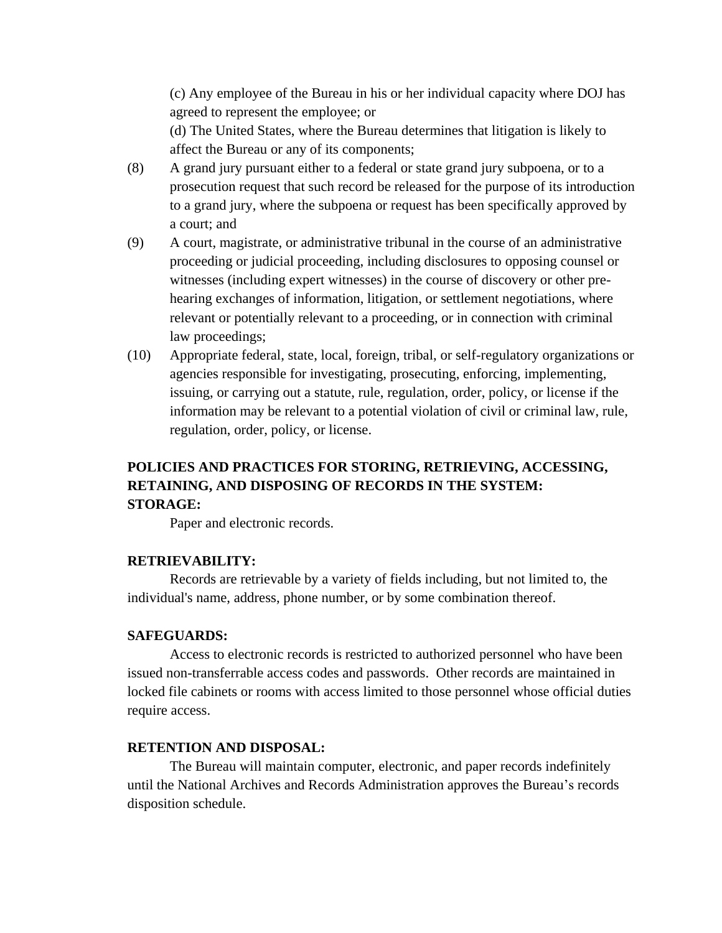(c) Any employee of the Bureau in his or her individual capacity where DOJ has agreed to represent the employee; or

(d) The United States, where the Bureau determines that litigation is likely to affect the Bureau or any of its components;

- (8) A grand jury pursuant either to a federal or state grand jury subpoena, or to a prosecution request that such record be released for the purpose of its introduction to a grand jury, where the subpoena or request has been specifically approved by a court; and
- (9) A court, magistrate, or administrative tribunal in the course of an administrative proceeding or judicial proceeding, including disclosures to opposing counsel or witnesses (including expert witnesses) in the course of discovery or other prehearing exchanges of information, litigation, or settlement negotiations, where relevant or potentially relevant to a proceeding, or in connection with criminal law proceedings;
- (10) Appropriate federal, state, local, foreign, tribal, or self-regulatory organizations or agencies responsible for investigating, prosecuting, enforcing, implementing, issuing, or carrying out a statute, rule, regulation, order, policy, or license if the information may be relevant to a potential violation of civil or criminal law, rule, regulation, order, policy, or license.

# **POLICIES AND PRACTICES FOR STORING, RETRIEVING, ACCESSING, RETAINING, AND DISPOSING OF RECORDS IN THE SYSTEM: STORAGE:**

Paper and electronic records.

# **RETRIEVABILITY:**

Records are retrievable by a variety of fields including, but not limited to, the individual's name, address, phone number, or by some combination thereof.

### **SAFEGUARDS:**

Access to electronic records is restricted to authorized personnel who have been issued non-transferrable access codes and passwords. Other records are maintained in locked file cabinets or rooms with access limited to those personnel whose official duties require access.

# **RETENTION AND DISPOSAL:**

The Bureau will maintain computer, electronic, and paper records indefinitely until the National Archives and Records Administration approves the Bureau's records disposition schedule.